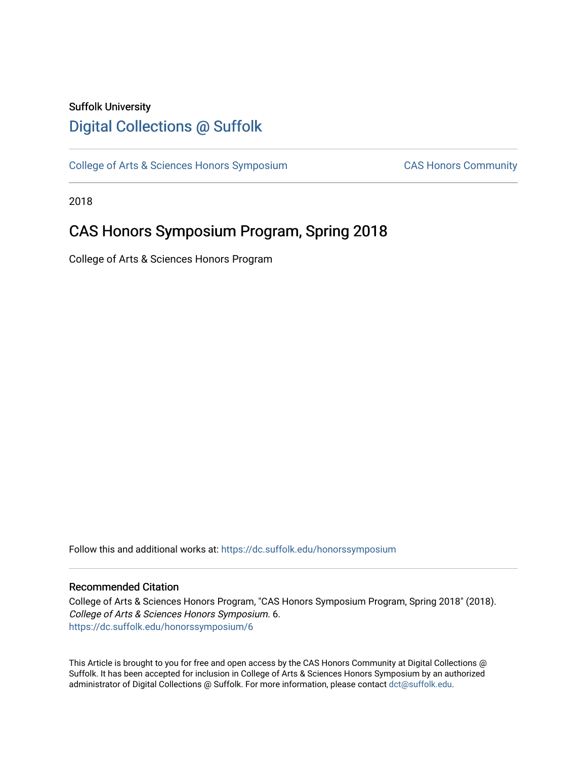### Suffolk University [Digital Collections @ Suffolk](https://dc.suffolk.edu/)

[College of Arts & Sciences Honors Symposium](https://dc.suffolk.edu/honorssymposium) CAS Honors Community

2018

## CAS Honors Symposium Program, Spring 2018

College of Arts & Sciences Honors Program

Follow this and additional works at: [https://dc.suffolk.edu/honorssymposium](https://dc.suffolk.edu/honorssymposium?utm_source=dc.suffolk.edu%2Fhonorssymposium%2F6&utm_medium=PDF&utm_campaign=PDFCoverPages) 

#### Recommended Citation

College of Arts & Sciences Honors Program, "CAS Honors Symposium Program, Spring 2018" (2018). College of Arts & Sciences Honors Symposium. 6. [https://dc.suffolk.edu/honorssymposium/6](https://dc.suffolk.edu/honorssymposium/6?utm_source=dc.suffolk.edu%2Fhonorssymposium%2F6&utm_medium=PDF&utm_campaign=PDFCoverPages)

This Article is brought to you for free and open access by the CAS Honors Community at Digital Collections @ Suffolk. It has been accepted for inclusion in College of Arts & Sciences Honors Symposium by an authorized administrator of Digital Collections @ Suffolk. For more information, please contact [dct@suffolk.edu.](mailto:dct@suffolk.edu)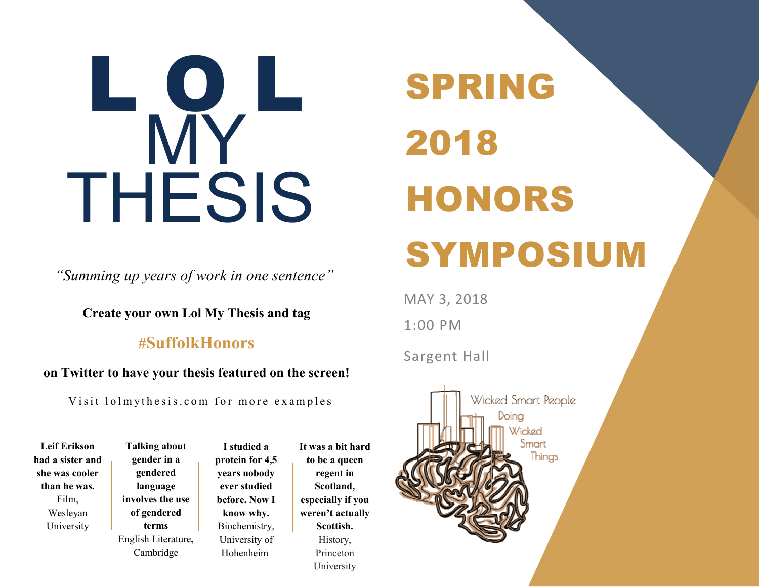# L O L MY THESIS

*"Summing up years of work in one sentence"*

**Create your own Lol My Thesis and tag**

## **#SuffolkHonors**

#### **on Twitter to have your thesis featured on the screen!**

Visit lolmythesis.com for more examples

**Leif Erikson had a sister and she was cooler than he was.** Film, Wesleyan University

**Talking about gender in a gendered language involves the use of gendered terms** English Literature**,**  Cambridge

**I studied a protein for 4,5 years nobody ever studied before. Now I know why.**  Biochemistry, University of Hohenheim

**It was a bit hard to be a queen regent in Scotland, especially if you weren't actually Scottish.** History, Princeton University

## SPRING 2018 HONORS SYMPOSIUM

MAY 3, 2018

1:00 PM

Sargent Hall

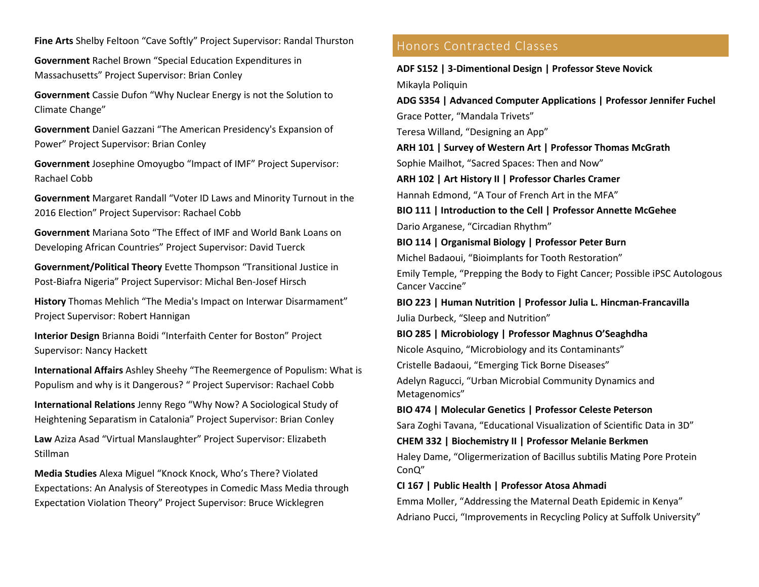**Fine Arts** Shelby Feltoon "Cave Softly" Project Supervisor: Randal Thurston

**Government** Rachel Brown "Special Education Expenditures in Massachusetts" Project Supervisor: Brian Conley

**Government** Cassie Dufon "Why Nuclear Energy is not the Solution to Climate Change"

**Government** Daniel Gazzani "The American Presidency's Expansion of Power" Project Supervisor: Brian Conley

**Government** Josephine Omoyugbo "Impact of IMF" Project Supervisor: Rachael Cobb

**Government** Margaret Randall "Voter ID Laws and Minority Turnout in the 2016 Election" Project Supervisor: Rachael Cobb

**Government** Mariana Soto "The Effect of IMF and World Bank Loans on Developing African Countries" Project Supervisor: David Tuerck

**Government/Political Theory** Evette Thompson "Transitional Justice in Post-Biafra Nigeria" Project Supervisor: Michal Ben-Josef Hirsch

**History** Thomas Mehlich "The Media's Impact on Interwar Disarmament" Project Supervisor: Robert Hannigan

**Interior Design** Brianna Boidi "Interfaith Center for Boston" Project Supervisor: Nancy Hackett

**International Affairs** Ashley Sheehy "The Reemergence of Populism: What is Populism and why is it Dangerous? " Project Supervisor: Rachael Cobb

**International Relations** Jenny Rego "Why Now? A Sociological Study of Heightening Separatism in Catalonia" Project Supervisor: Brian Conley

**Law** Aziza Asad "Virtual Manslaughter" Project Supervisor: Elizabeth Stillman

**Media Studies** Alexa Miguel "Knock Knock, Who's There? Violated Expectations: An Analysis of Stereotypes in Comedic Mass Media through Expectation Violation Theory" Project Supervisor: Bruce Wicklegren

#### Honors Contracted Classes

**ADF S152 | 3-Dimentional Design | Professor Steve Novick** Mikayla Poliquin

**ADG S354 | Advanced Computer Applications | Professor Jennifer Fuchel**

Grace Potter, "Mandala Trivets"

Teresa Willand, "Designing an App"

**ARH 101 | Survey of Western Art | Professor Thomas McGrath**

Sophie Mailhot, "Sacred Spaces: Then and Now"

**ARH 102 | Art History II | Professor Charles Cramer** Hannah Edmond, "A Tour of French Art in the MFA"

**BIO 111 | Introduction to the Cell | Professor Annette McGehee** Dario Arganese, "Circadian Rhythm"

**BIO 114 | Organismal Biology | Professor Peter Burn** Michel Badaoui, "Bioimplants for Tooth Restoration" Emily Temple, "Prepping the Body to Fight Cancer; Possible iPSC Autologous Cancer Vaccine"

**BIO 223 | Human Nutrition | Professor Julia L. Hincman-Francavilla** Julia Durbeck, "Sleep and Nutrition"

**BIO 285 | Microbiology | Professor Maghnus O'Seaghdha** Nicole Asquino, "Microbiology and its Contaminants"

Cristelle Badaoui, "Emerging Tick Borne Diseases"

Adelyn Ragucci, "Urban Microbial Community Dynamics and Metagenomics"

#### **BIO 474 | Molecular Genetics | Professor Celeste Peterson**

Sara Zoghi Tavana, "Educational Visualization of Scientific Data in 3D"

#### **CHEM 332 | Biochemistry II | Professor Melanie Berkmen**

Haley Dame, "Oligermerization of Bacillus subtilis Mating Pore Protein ConQ"

#### **CI 167 | Public Health | Professor Atosa Ahmadi**

Emma Moller, "Addressing the Maternal Death Epidemic in Kenya" Adriano Pucci, "Improvements in Recycling Policy at Suffolk University"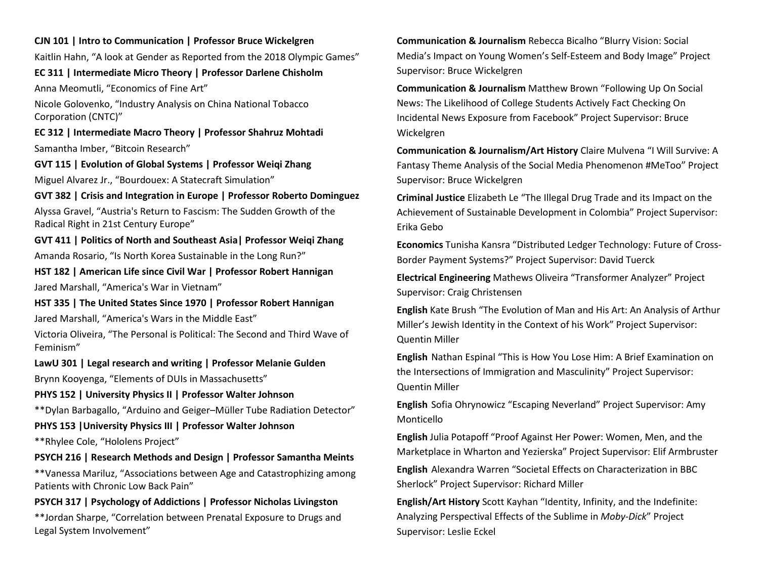#### **CJN 101 | Intro to Communication | Professor Bruce Wickelgren**

Kaitlin Hahn, "A look at Gender as Reported from the 2018 Olympic Games"

#### **EC 311 | Intermediate Micro Theory | Professor Darlene Chisholm**

Anna Meomutli, "Economics of Fine Art"

Nicole Golovenko, "Industry Analysis on China National Tobacco Corporation (CNTC)"

**EC 312 | Intermediate Macro Theory | Professor Shahruz Mohtadi** Samantha Imber, "Bitcoin Research"

#### **GVT 115 | Evolution of Global Systems | Professor Weiqi Zhang**

Miguel Alvarez Jr., "Bourdouex: A Statecraft Simulation"

#### **GVT 382 | Crisis and Integration in Europe | Professor Roberto Dominguez**

Alyssa Gravel, "Austria's Return to Fascism: The Sudden Growth of the Radical Right in 21st Century Europe"

#### **GVT 411 | Politics of North and Southeast Asia| Professor Weiqi Zhang**

Amanda Rosario, "Is North Korea Sustainable in the Long Run?"

#### **HST 182 | American Life since Civil War | Professor Robert Hannigan**

Jared Marshall, "America's War in Vietnam"

#### **HST 335 | The United States Since 1970 | Professor Robert Hannigan**

Jared Marshall, "America's Wars in the Middle East"

Victoria Oliveira, "The Personal is Political: The Second and Third Wave of Feminism"

#### **LawU 301 | Legal research and writing | Professor Melanie Gulden**

Brynn Kooyenga, "Elements of DUIs in Massachusetts"

#### **PHYS 152 | University Physics II | Professor Walter Johnson**

\*\*Dylan Barbagallo, "Arduino and Geiger–Müller Tube Radiation Detector"

#### **PHYS 153 |University Physics III | Professor Walter Johnson**

\*\*Rhylee Cole, "Hololens Project"

#### **PSYCH 216 | Research Methods and Design | Professor Samantha Meints**

\*\*Vanessa Mariluz, "Associations between Age and Catastrophizing among Patients with Chronic Low Back Pain"

#### **PSYCH 317 | Psychology of Addictions | Professor Nicholas Livingston**

\*\*Jordan Sharpe, "Correlation between Prenatal Exposure to Drugs and Legal System Involvement"

**Communication & Journalism** Rebecca Bicalho "Blurry Vision: Social Media's Impact on Young Women's Self-Esteem and Body Image" Project Supervisor: Bruce Wickelgren

**Communication & Journalism** Matthew Brown "Following Up On Social News: The Likelihood of College Students Actively Fact Checking On Incidental News Exposure from Facebook" Project Supervisor: Bruce Wickelgren

**Communication & Journalism/Art History** Claire Mulvena "I Will Survive: A Fantasy Theme Analysis of the Social Media Phenomenon #MeToo" Project Supervisor: Bruce Wickelgren

**Criminal Justice** Elizabeth Le "The Illegal Drug Trade and its Impact on the Achievement of Sustainable Development in Colombia" Project Supervisor: Erika Gebo

**Economics** Tunisha Kansra "Distributed Ledger Technology: Future of Cross-Border Payment Systems?" Project Supervisor: David Tuerck

**Electrical Engineering** Mathews Oliveira "Transformer Analyzer" Project Supervisor: Craig Christensen

**English** Kate Brush "The Evolution of Man and His Art: An Analysis of Arthur Miller's Jewish Identity in the Context of his Work" Project Supervisor: Quentin Miller

**English** Nathan Espinal "This is How You Lose Him: A Brief Examination on the Intersections of Immigration and Masculinity" Project Supervisor: Quentin Miller

**English** Sofia Ohrynowicz "Escaping Neverland" Project Supervisor: Amy Monticello

**English** Julia Potapoff "Proof Against Her Power: Women, Men, and the Marketplace in Wharton and Yezierska" Project Supervisor: Elif Armbruster

**English** Alexandra Warren "Societal Effects on Characterization in BBC Sherlock" Project Supervisor: Richard Miller

**English/Art History** Scott Kayhan "Identity, Infinity, and the Indefinite: Analyzing Perspectival Effects of the Sublime in *Moby-Dick*" Project Supervisor: Leslie Eckel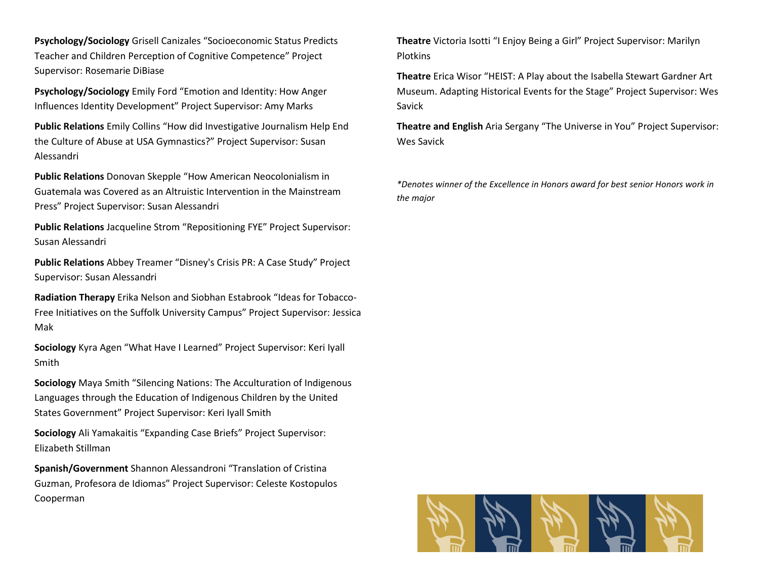**Psychology/Sociology** Grisell Canizales "Socioeconomic Status Predicts Teacher and Children Perception of Cognitive Competence" Project Supervisor: Rosemarie DiBiase

**Psychology/Sociology** Emily Ford "Emotion and Identity: How Anger Influences Identity Development" Project Supervisor: Amy Marks

**Public Relations** Emily Collins "How did Investigative Journalism Help End the Culture of Abuse at USA Gymnastics?" Project Supervisor: Susan Alessandri

**Public Relations** Donovan Skepple "How American Neocolonialism in Guatemala was Covered as an Altruistic Intervention in the Mainstream Press" Project Supervisor: Susan Alessandri

**Public Relations** Jacqueline Strom "Repositioning FYE" Project Supervisor: Susan Alessandri

**Public Relations** Abbey Treamer "Disney's Crisis PR: A Case Study" Project Supervisor: Susan Alessandri

**Radiation Therapy** Erika Nelson and Siobhan Estabrook "Ideas for Tobacco-Free Initiatives on the Suffolk University Campus" Project Supervisor: Jessica Mak

**Sociology** Kyra Agen "What Have I Learned" Project Supervisor: Keri Iyall Smith

**Sociology** Maya Smith "Silencing Nations: The Acculturation of Indigenous Languages through the Education of Indigenous Children by the United States Government" Project Supervisor: Keri Iyall Smith

**Sociology** Ali Yamakaitis "Expanding Case Briefs" Project Supervisor: Elizabeth Stillman

**Spanish/Government** Shannon Alessandroni "Translation of Cristina Guzman, Profesora de Idiomas" Project Supervisor: Celeste Kostopulos Cooperman

**Theatre** Victoria Isotti "I Enjoy Being a Girl" Project Supervisor: Marilyn **Plotkins** 

**Theatre** Erica Wisor "HEIST: A Play about the Isabella Stewart Gardner Art Museum. Adapting Historical Events for the Stage" Project Supervisor: Wes Savick

**Theatre and English** Aria Sergany "The Universe in You" Project Supervisor: Wes Savick

*\*Denotes winner of the Excellence in Honors award for best senior Honors work in the major*

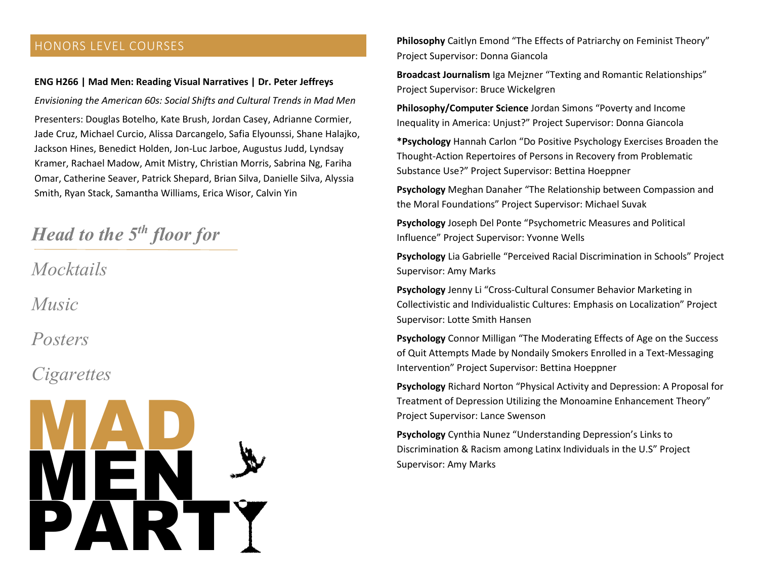#### HONORS LEVEL COURSES

#### **ENG H266 | Mad Men: Reading Visual Narratives | Dr. Peter Jeffreys**

*Envisioning the American 60s: Social Shifts and Cultural Trends in Mad Men* Presenters: Douglas Botelho, Kate Brush, Jordan Casey, Adrianne Cormier, Jade Cruz, Michael Curcio, Alissa Darcangelo, Safia Elyounssi, Shane Halajko, Jackson Hines, Benedict Holden, Jon-Luc Jarboe, Augustus Judd, Lyndsay Kramer, Rachael Madow, Amit Mistry, Christian Morris, Sabrina Ng, Fariha Omar, Catherine Seaver, Patrick Shepard, Brian Silva, Danielle Silva, Alyssia Smith, Ryan Stack, Samantha Williams, Erica Wisor, Calvin Yin

## *Head to the 5th floor for*

*Mocktails* 

*Music*

*Posters*

## *Cigarettes*



**Philosophy** Caitlyn Emond "The Effects of Patriarchy on Feminist Theory" Project Supervisor: Donna Giancola

**Broadcast Journalism** Iga Mejzner "Texting and Romantic Relationships" Project Supervisor: Bruce Wickelgren

**Philosophy/Computer Science** Jordan Simons "Poverty and Income Inequality in America: Unjust?" Project Supervisor: Donna Giancola

**\*Psychology** Hannah Carlon "Do Positive Psychology Exercises Broaden the Thought-Action Repertoires of Persons in Recovery from Problematic Substance Use?" Project Supervisor: Bettina Hoeppner

**Psychology** Meghan Danaher "The Relationship between Compassion and the Moral Foundations" Project Supervisor: Michael Suvak

**Psychology** Joseph Del Ponte "Psychometric Measures and Political Influence" Project Supervisor: Yvonne Wells

**Psychology** Lia Gabrielle "Perceived Racial Discrimination in Schools" Project Supervisor: Amy Marks

**Psychology** Jenny Li "Cross-Cultural Consumer Behavior Marketing in Collectivistic and Individualistic Cultures: Emphasis on Localization" Project Supervisor: Lotte Smith Hansen

**Psychology** Connor Milligan "The Moderating Effects of Age on the Success of Quit Attempts Made by Nondaily Smokers Enrolled in a Text-Messaging Intervention" Project Supervisor: Bettina Hoeppner

**Psychology** Richard Norton "Physical Activity and Depression: A Proposal for Treatment of Depression Utilizing the Monoamine Enhancement Theory" Project Supervisor: Lance Swenson

**Psychology** Cynthia Nunez "Understanding Depression's Links to Supervisor: Amy Marks